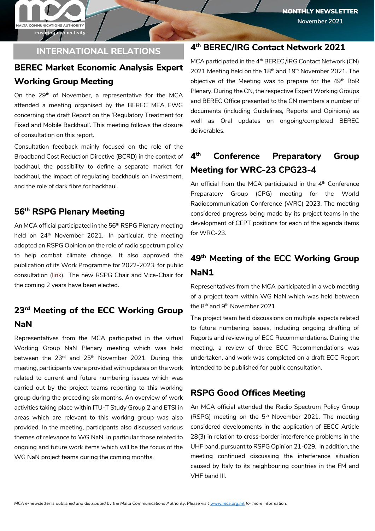ensuring connectivity

MALTA COMMUNICATIONS AUTHORITY

#### **INTERNATIONAL RELATIONS**

# **BEREC Market Economic Analysis Expert Working Group Meeting**

On the 29<sup>th</sup> of November, a representative for the MCA attended a meeting organised by the BEREC MEA EWG concerning the draft Report on the 'Regulatory Treatment for Fixed and Mobile Backhaul'. This meeting follows the closure of consultation on this report.

Consultation feedback mainly focused on the role of the Broadband Cost Reduction Directive (BCRD) in the context of backhaul, the possibility to define a separate market for backhaul, the impact of regulating backhauls on investment, and the role of dark fibre for backhaul.

#### **56th RSPG Plenary Meeting**

An MCA official participated in the 56<sup>th</sup> RSPG Plenary meeting held on  $24<sup>th</sup>$  November 2021. In particular, the meeting adopted an RSPG Opinion on the role of radio spectrum policy to help combat climate change. It also approved the publication of its Work Programme for 2022-2023, for public consultation [\(link\)](https://rspg-spectrum.eu/public-consultations/). The new RSPG Chair and Vice-Chair for the coming 2 years have been elected.

#### **23rd Meeting of the ECC Working Group NaN**

Representatives from the MCA participated in the virtual Working Group NaN Plenary meeting which was held between the  $23<sup>rd</sup>$  and  $25<sup>th</sup>$  November 2021. During this meeting, participants were provided with updates on the work related to current and future numbering issues which was carried out by the project teams reporting to this working group during the preceding six months. An overview of work activities taking place within ITU-T Study Group 2 and ETSI in areas which are relevant to this working group was also provided. In the meeting, participants also discussed various themes of relevance to WG NaN, in particular those related to ongoing and future work items which will be the focus of the WG NaN project teams during the coming months.

#### **4 th BEREC/IRG Contact Network 2021**

MCA participated in the  $4<sup>th</sup>$  BEREC /IRG Contact Network (CN) 2021 Meeting held on the  $18<sup>th</sup>$  and  $19<sup>th</sup>$  November 2021. The objective of the Meeting was to prepare for the  $49<sup>th</sup>$  BoR Plenary. During the CN, the respective Expert Working Groups and BEREC Office presented to the CN members a number of documents (including Guidelines, Reports and Opinions) as well as Oral updates on ongoing/completed BEREC deliverables.

#### **4 th Conference Preparatory Group Meeting for WRC-23 CPG23-4**

An official from the MCA participated in the  $4<sup>th</sup>$  Conference Preparatory Group (CPG) meeting for the World Radiocommunication Conference (WRC) 2023. The meeting considered progress being made by its project teams in the development of CEPT positions for each of the agenda items for WRC-23.

# **49th Meeting of the ECC Working Group NaN1**

Representatives from the MCA participated in a web meeting of a project team within WG NaN which was held between the 8<sup>th</sup> and 9<sup>th</sup> November 2021.

The project team held discussions on multiple aspects related to future numbering issues, including ongoing drafting of Reports and reviewing of ECC Recommendations. During the meeting, a review of three ECC Recommendations was undertaken, and work was completed on a draft ECC Report intended to be published for public consultation.

#### **RSPG Good Offices Meeting**

An MCA official attended the Radio Spectrum Policy Group (RSPG) meeting on the 5<sup>th</sup> November 2021. The meeting considered developments in the application of EECC Article 28(3) in relation to cross-border interference problems in the UHF band, pursuant to RSPG Opinion 21-029. In addition, the meeting continued discussing the interference situation caused by Italy to its neighbouring countries in the FM and VHF band III.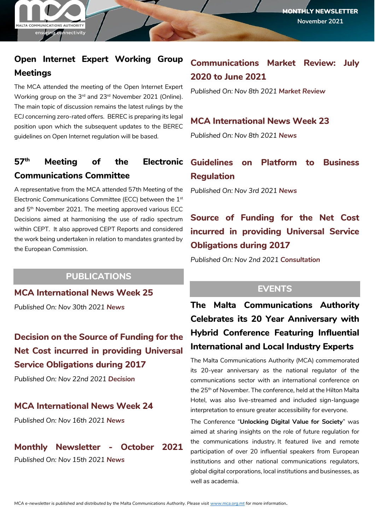# **Open Internet Expert Working Group Meetings**

The MCA attended the meeting of the Open Internet Expert Working group on the 3rd and 23rd November 2021 (Online). The main topic of discussion remains the latest rulings by the ECJ concerning zero-rated offers. BEREC is preparing its legal position upon which the subsequent updates to the BEREC guidelines on Open Internet regulation will be based.

# **Communications Committee**

A representative from the MCA attended 57th Meeting of the Electronic Communications Committee (ECC) between the 1st and 5<sup>th</sup> November 2021. The meeting approved various ECC Decisions aimed at harmonising the use of radio spectrum within CEPT. It also approved CEPT Reports and considered the work being undertaken in relation to mandates granted by the European Commission.

## **PUBLICATIONS**

**[MCA International News Week 25](https://www.mca.org.mt/articles/mca-international-news-week-25-2)**

*Published On: Nov 30th 2021 [News](https://www.mca.org.mt/publications?term_node_tid_depth=642)*

## **[Decision on the Source of Funding for the](https://www.mca.org.mt/consultations-decisions/decision-source-funding-net-cost-incurred-providing-universal-service-4)  [Net Cost incurred in providing Universal](https://www.mca.org.mt/consultations-decisions/decision-source-funding-net-cost-incurred-providing-universal-service-4)  [Service Obligations during 2017](https://www.mca.org.mt/consultations-decisions/decision-source-funding-net-cost-incurred-providing-universal-service-4)**

*Published On: Nov 22nd 2021 [Decision](https://www.mca.org.mt/publications?term_node_tid_depth=583)*

#### **[MCA International News Week 24](https://www.mca.org.mt/articles/mca-international-news-week-24-1)**

*Published On: Nov 16th 2021 [News](https://www.mca.org.mt/publications?term_node_tid_depth=642)*

## **[Monthly Newsletter -](https://www.mca.org.mt/articles/monthly-newsletter-october-2021) October 2021**

*Published On: Nov 15th 2021 [News](https://www.mca.org.mt/publications?term_node_tid_depth=642)*

# **[Communications Market Review: July](https://www.mca.org.mt/articles/communications-market-review-july-2020-june-2021)  [2020 to June 2021](https://www.mca.org.mt/articles/communications-market-review-july-2020-june-2021)**

*Published On: Nov 8th 2021 [Market Review](https://www.mca.org.mt/publications?term_node_tid_depth=585)*

## **[MCA International News Week 23](https://www.mca.org.mt/articles/mca-international-news-week-23-1)**

*Published On: Nov 8th 2021 [News](https://www.mca.org.mt/publications?term_node_tid_depth=642)*

# **57th Meeting of the Electronic [Guidelines on Platform to Business](https://www.mca.org.mt/articles/guidelines-platform-business-regulation)  [Regulation](https://www.mca.org.mt/articles/guidelines-platform-business-regulation)**

*Published On: Nov 3rd 2021 [News](https://www.mca.org.mt/publications?term_node_tid_depth=642)*

# **[Source of Funding for the Net Cost](https://www.mca.org.mt/consultations-decisions/source-funding-net-cost-incurred-providing-universal-service-obligations-0)  [incurred in providing Universal Service](https://www.mca.org.mt/consultations-decisions/source-funding-net-cost-incurred-providing-universal-service-obligations-0)  [Obligations during 2017](https://www.mca.org.mt/consultations-decisions/source-funding-net-cost-incurred-providing-universal-service-obligations-0)**

*Published On: Nov 2nd 2021 [Consultation](https://www.mca.org.mt/publications?term_node_tid_depth=584)*

## **EVENTS**

**The Malta Communications Authority Celebrates its 20 Year Anniversary with Hybrid Conference Featuring Influential International and Local Industry Experts**

The Malta Communications Authority (MCA) commemorated its 20-year anniversary as the national regulator of the communications sector with an international conference on the 25<sup>th</sup> of November. The conference, held at the Hilton Malta Hotel, was also live-streamed and included sign-language interpretation to ensure greater accessibility for everyone.

The Conference "**Unlocking Digital Value for Society**" was aimed at sharing insights on the role of future regulation for the communications industry. It featured live and remote participation of over 20 influential speakers from European institutions and other national communications regulators, global digital corporations, local institutions and businesses, as well as academia.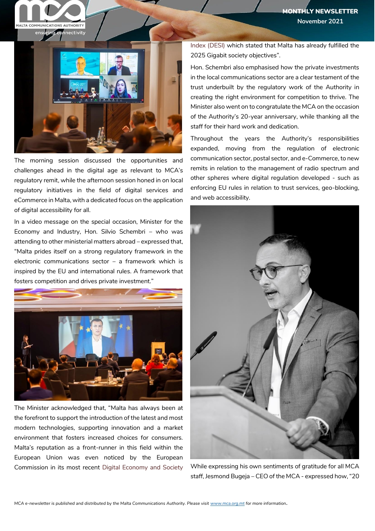

The morning session discussed the opportunities and challenges ahead in the digital age as relevant to MCA's regulatory remit, while the afternoon session honed in on local regulatory initiatives in the field of digital services and eCommerce in Malta, with a dedicated focus on the application of digital accessibility for all.

In a video message on the special occasion, Minister for the Economy and Industry, Hon. Silvio Schembri – who was attending to other ministerial matters abroad – expressed that, "Malta prides itself on a strong regulatory framework in the electronic communications sector – a framework which is inspired by the EU and international rules. A framework that fosters competition and drives private investment."



The Minister acknowledged that, "Malta has always been at the forefront to support the introduction of the latest and most modern technologies, supporting innovation and a market environment that fosters increased choices for consumers. Malta's reputation as a front-runner in this field within the European Union was even noticed by the European Commission in its most recent [Digital Economy and Society](https://digital-strategy.ec.europa.eu/en/policies/desi)  [Index \(DESI\)](https://digital-strategy.ec.europa.eu/en/policies/desi) which stated that Malta has already fulfilled the 2025 Gigabit society objectives".

Hon. Schembri also emphasised how the private investments in the local communications sector are a clear testament of the trust underbuilt by the regulatory work of the Authority in creating the right environment for competition to thrive. The Minister also went on to congratulate the MCA on the occasion of the Authority's 20-year anniversary, while thanking all the staff for their hard work and dedication.

Throughout the years the Authority's responsibilities expanded, moving from the regulation of electronic communication sector, postal sector, and e-Commerce, to new remits in relation to the management of radio spectrum and other spheres where digital regulation developed - such as enforcing EU rules in relation to trust services, geo-blocking, and web accessibility.



While expressing his own sentiments of gratitude for all MCA staff, Jesmond Bugeja – CEO of the MCA - expressed how, "20